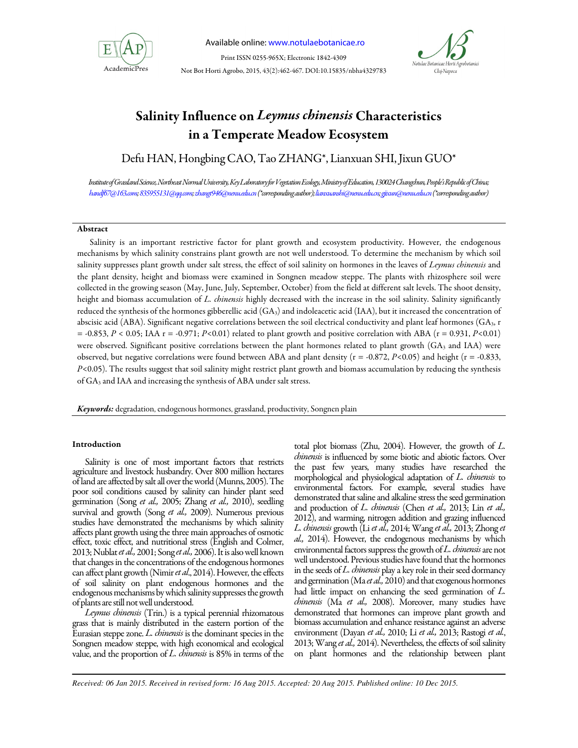

*Han D et al. / Not Bot Horti Agrobo, 2015, 43(2):462-467*  Available online: www.notulaebotanicae.ro

Print ISSN 0255-965X; Electronic 1842-4309 Not Bot Horti Agrobo, 2015, 43(2):462-467. DOI:10.15835/nbha4329783



# Salinity Influence on Leymus chinensis Characteristics in a Temperate Meadow Ecosystem

Defu HAN, Hongbing CAO, Tao ZHANG\*, Lianxuan SHI, Jixun GUO\*

*Institute of Grassland Science, Northeast Normal University, Key Laboratory for Vegetation Ecology, Ministry of Education, 130024 Changchun, People's Republic of China; handf67@163.com; 835955131@qq.com; zhangt946@nenu.edu.cn (\*corresponding author); lianxuanshi@nenu.edu.cn; gjixun@nenu.edu.cn (\*corresponding author)* 

# Abstract

Salinity is an important restrictive factor for plant growth and ecosystem productivity. However, the endogenous mechanisms by which salinity constrains plant growth are not well understood. To determine the mechanism by which soil salinity suppresses plant growth under salt stress, the effect of soil salinity on hormones in the leaves of *Leymus chinensis* and the plant density, height and biomass were examined in Songnen meadow steppe. The plants with rhizosphere soil were collected in the growing season (May, June, July, September, October) from the field at different salt levels. The shoot density, height and biomass accumulation of *L. chinensis* highly decreased with the increase in the soil salinity. Salinity significantly reduced the synthesis of the hormones gibberellic acid (GA3) and indoleacetic acid (IAA), but it increased the concentration of abscisic acid (ABA). Significant negative correlations between the soil electrical conductivity and plant leaf hormones (GA3, r = -0.853, *P* < 0.05; IAA r = -0.971; *P*<0.01) related to plant growth and positive correlation with ABA (r = 0.931, *P*<0.01) were observed. Significant positive correlations between the plant hormones related to plant growth (GA<sub>3</sub> and IAA) were observed, but negative correlations were found between ABA and plant density (r = -0.872, *P*<0.05) and height (r = -0.833, *P*<0.05). The results suggest that soil salinity might restrict plant growth and biomass accumulation by reducing the synthesis of GA3 and IAA and increasing the synthesis of ABA under salt stress.

Keywords: degradation, endogenous hormones, grassland, productivity, Songnen plain

# Introduction

Salinity is one of most important factors that restricts agriculture and livestock husbandry. Over 800 million hectares of land are affected by salt all over the world (Munns, 2005). The poor soil conditions caused by salinity can hinder plant seed germination (Song *et al.,* 2005; Zhang *et al.,* 2010), seedling survival and growth (Song *et al.,* 2009). Numerous previous studies have demonstrated the mechanisms by which salinity affects plant growth using the three main approaches of osmotic effect, toxic effect, and nutritional stress (English and Colmer, 2013; Nublat *et al.,* 2001; Song *et al.,* 2006). It is also well known that changes in the concentrations of the endogenous hormones can affect plant growth (Nimir *et al*., 2014). However, the effects of soil salinity on plant endogenous hormones and the endogenous mechanisms by which salinity suppresses the growth of plants are still not well understood.

*Leymus chinensis* (Trin.) is a typical perennial rhizomatous grass that is mainly distributed in the eastern portion of the Eurasian steppe zone. *L. chinensis* is the dominant species in the Songnen meadow steppe, with high economical and ecological value, and the proportion of *L. chinensis* is 85% in terms of the

total plot biomass (Zhu, 2004). However, the growth of *L. chinensis* is influenced by some biotic and abiotic factors. Over the past few years, many studies have researched the morphological and physiological adaptation of *L. chinensis* to environmental factors. For example, several studies have demonstrated that saline and alkaline stress the seed germination and production of *L. chinensis* (Chen *et al.,* 2013; Lin *et al.,*  2012), and warming, nitrogen addition and grazing influenced *L. chinensis* growth (Li *et al.,* 2014; Wang *et al.,* 2013; Zhong *et al.,* 2014). However, the endogenous mechanisms by which environmental factors suppress the growth of *L. chinensis*are not well understood. Previous studies have found that the hormones in the seeds of *L. chinensis* play a key role in their seed dormancy and germination (Ma *et al.,* 2010) and that exogenous hormones had little impact on enhancing the seed germination of *L. chinensis* (Ma *et al.,* 2008). Moreover, many studies have demonstrated that hormones can improve plant growth and biomass accumulation and enhance resistance against an adverse environment (Dayan *et al.,* 2010; Li *et al.,* 2013; Rastogi *et al.*, 2013; Wang *et al.,* 2014). Nevertheless, the effects of soil salinity on plant hormones and the relationship between plant

*Received: 06 Jan 2015. Received in revised form: 16 Aug 2015. Accepted: 20 Aug 2015. Published online: 10 Dec 2015.*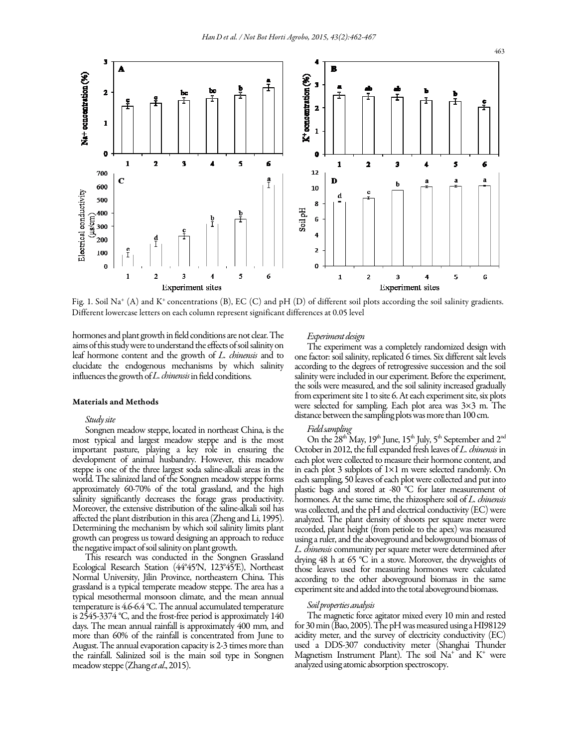

Fig. 1. Soil Na<sup>+</sup> (A) and K<sup>+</sup>concentrations (B), EC (C) and pH (D) of different soil plots according the soil salinity gradients. Different lowercase letters on each column represent significant differences at 0.05 level

hormones and plant growth in field conditions are not clear. The aims of this study were to understand the effects of soil salinity on leaf hormone content and the growth of *L. chinensis* and to elucidate the endogenous mechanisms by which salinity influences the growth of *L. chinensis* in field conditions.

## Materials and Methods

## *Study site*

Songnen meadow steppe, located in northeast China, is the most typical and largest meadow steppe and is the most important pasture, playing a key role in ensuring the development of animal husbandry. However, this meadow steppe is one of the three largest soda saline-alkali areas in the world. The salinized land of the Songnen meadow steppe forms approximately 60-70% of the total grassland, and the high salinity significantly decreases the forage grass productivity. Moreover, the extensive distribution of the saline-alkali soil has affected the plant distribution in this area (Zheng and Li, 1995). Determining the mechanism by which soil salinity limits plant growth can progress us toward designing an approach to reduce the negative impact of soil salinity on plant growth.

This research was conducted in the Songnen Grassland Ecological Research Station (44°45′N, 123°45′E), Northeast Normal University, Jilin Province, northeastern China. This grassland is a typical temperate meadow steppe. The area has a typical mesothermal monsoon climate, and the mean annual temperature is 4.6-6.4 °C. The annual accumulated temperature is 2545-3374 °C, and the frost-free period is approximately 140 days. The mean annual rainfall is approximately 400 mm, and more than 60% of the rainfall is concentrated from June to August. The annual evaporation capacity is 2-3 times more than the rainfall. Salinized soil is the main soil type in Songnen meadow steppe (Zhang *et al*., 2015).

#### *Experiment design*

The experiment was a completely randomized design with one factor: soil salinity, replicated 6 times. Six different salt levels according to the degrees of retrogressive succession and the soil salinity were included in our experiment. Before the experiment, the soils were measured, and the soil salinity increased gradually from experiment site 1 to site 6. At each experiment site, six plots were selected for sampling. Each plot area was 3×3 m. The distance between the sampling plots was more than 100 cm.

#### *Field sampling*

On the 28<sup>th</sup> May, 19<sup>th</sup> June, 15<sup>th</sup> July, 5<sup>th</sup> September and 2<sup>nd</sup> October in 2012, the full expanded fresh leaves of *L. chinensis* in each plot were collected to measure their hormone content, and in each plot 3 subplots of  $1\times1$  m were selected randomly. On each sampling, 50 leaves of each plot were collected and put into plastic bags and stored at -80 °C for later measurement of hormones. At the same time, the rhizosphere soil of *L. chinensis* was collected, and the pH and electrical conductivity (EC) were analyzed. The plant density of shoots per square meter were recorded, plant height (from petiole to the apex) was measured using a ruler, and the aboveground and belowground biomass of *L. chinensis* community per square meter were determined after drying 48 h at 65 °C in a stove. Moreover, the dryweights of those leaves used for measuring hormones were calculated according to the other aboveground biomass in the same experiment site and added into the total aboveground biomass.

#### *Soil properties analysis*

The magnetic force agitator mixed every 10 min and rested for 30 min (Bao, 2005). The pH was measured using a HI98129 acidity meter, and the survey of electricity conductivity (EC) used a DDS-307 conductivity meter (Shanghai Thunder Magnetism Instrument Plant). The soil  $\mathrm{Na}^+$  and  $\mathrm{K}^+$  were analyzed using atomic absorption spectroscopy.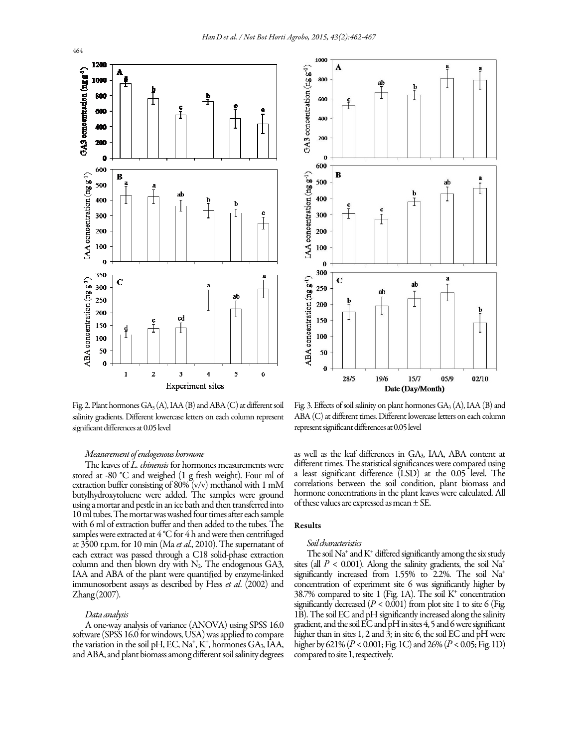

Fig. 2. Plant hormones  $GA_3(A)$ , IAA (B) and ABA (C) at different soil salinity gradients. Different lowercase letters on each column represent significant differences at 0.05 level

# *Measurement of endogenous hormone*

at 5500 f.p.m. tor to min (water *ac*, 2010). The supernatant of<br>each extract was passed through a C18 solid-phase extraction The leaves of *L. chinensis* for hormones measurements were stored at -80 °C and weighed (1 g fresh weight). Four ml of extraction buffer consisting of 80% (v/v) methanol with 1 mM butylhydroxytoluene were added. The samples were ground using a mortar and pestle in an ice bath and then transferred into 10 ml tubes. The mortar was washed four times after each sample with 6 ml of extraction buffer and then added to the tubes. The samples were extracted at 4 °C for 4 h and were then centrifuged at 3500 r.p.m. for 10 min (Ma *et al*., 2010). The supernatant of column and then blown dry with  $N_2$ . The endogenous GA3, IAA and ABA of the plant were quantified by enzyme-linked immunosorbent assays as described by Hess *et al*. (2002) and Zhang (2007).

## *Data analysis*

A one-way analysis of variance (ANOVA) using SPSS 16.0 software (SPSS 16.0 for windows, USA) was applied to compare the variation in the soil pH, EC, Na<sup>+</sup>, K<sup>+</sup>, hormones GA<sub>3</sub>, IAA, and ABA, and plant biomass among different soil salinity degrees



Fig. 3. Effects of soil salinity on plant hormones  $GA_3(A)$ , IAA (B) and ABA (C) at different times. Different lowercase letters on each column represent significant differences at 0.05 level

as well as the leaf differences in GA3, IAA, ABA content at different times. The statistical significances were compared using a least significant difference (LSD) at the 0.05 level. The correlations between the soil condition, plant biomass and hormone concentrations in the plant leaves were calculated. All of these values are expressed as mean  $\pm$  SE.

## Results

#### *Soil characteristics*

The soil Na<sup>+</sup> and K<sup>+</sup> differed significantly among the six study sites (all  $P < 0.001$ ). Along the salinity gradients, the soil Na<sup>+</sup> significantly increased from 1.55% to 2.2%. The soil Na<sup>+</sup> concentration of experiment site 6 was significantly higher by 38.7% compared to site 1 (Fig. 1A). The soil K<sup>+</sup> concentration significantly decreased  $(P < 0.001)$  from plot site 1 to site 6 (Fig. 1B). The soil EC and pH significantly increased along the salinity gradient, and the soil EC and pH in sites 4, 5 and 6 were significant higher than in sites 1, 2 and  $\hat{3}$ ; in site 6, the soil EC and  $\hat{p}H$  were higher by 621% (*P* < 0.001; Fig. 1C) and 26% (*P* < 0.05; Fig. 1D) compared to site 1, respectively.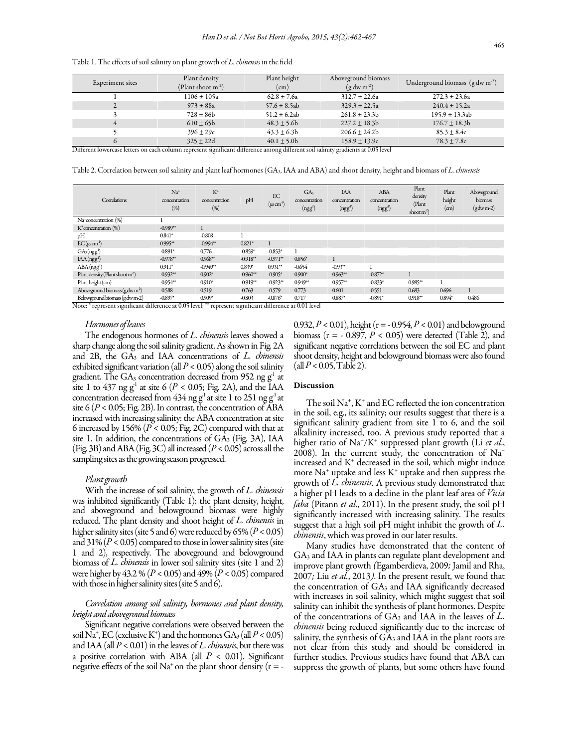| Table 1. The effects of soil salinity on plant growth of L. chinensis in the field |  |  |
|------------------------------------------------------------------------------------|--|--|

| Experiment sites                                                                                                                  | Plant density<br>(Plant shoot $m^{-2}$ ) | Plant height<br>$\rm (cm)$ | Aboveground biomass<br>$(g \, dw \, m^2)$ | Underground biomass $(g dw m-2)$ |  |  |
|-----------------------------------------------------------------------------------------------------------------------------------|------------------------------------------|----------------------------|-------------------------------------------|----------------------------------|--|--|
|                                                                                                                                   | $1106 + 105a$                            | $62.8 + 7.6a$              | $312.7 + 22.6a$                           | $272.3 \pm 23.6a$                |  |  |
|                                                                                                                                   | $973 + 88a$                              | $57.6 \pm 8.5ab$           | $329.3 \pm 22.5a$                         | $240.4 + 15.2a$                  |  |  |
|                                                                                                                                   | $728 + 86b$                              | $51.2 + 6.2ab$             | $261.8 + 23.3b$                           | $195.9 + 13.3ab$                 |  |  |
|                                                                                                                                   | $610 \pm 65$                             | $48.3 + 5.6b$              | $227.2 + 18.3b$                           | $176.7 \pm 18.3b$                |  |  |
|                                                                                                                                   | $396 + 29c$                              | $43.3 + 6.3b$              | $206.6 \pm 24.2$                          | $85.3 + 8.4c$                    |  |  |
|                                                                                                                                   | $325 + 22d$                              | $40.1 \pm 5.0$             | $158.9 \pm 13.9c$                         | $78.3 \pm 7.8c$                  |  |  |
| Different lowercase letters on each column represent significant difference among different soil salinity gradients at 0.05 level |                                          |                            |                                           |                                  |  |  |

Table 2. Correlation between soil salinity and plant leaf hormones (GA<sub>3</sub>, IAA and ABA) and shoot density, height and biomass of L. chinensis

| Correlations                                                                   | $Na+$<br>concentration<br>(%) | $K^+$<br>concentration<br>(%) | pH                          | EC<br>$(\mu \text{scm}^1)$ | GA <sub>3</sub><br>concentration<br>(ngg <sup>1</sup> ) | <b>IAA</b><br>concentration<br>(ngg <sup>1</sup> ) | ABA<br>concentration<br>(ngg <sup>1</sup> ) | Plant<br>density<br>(Plant<br>shoot $m^2$ | Plant<br>height<br>$\rm (cm)$ | Aboveground<br>biomass<br>$(gdwm-2)$ |
|--------------------------------------------------------------------------------|-------------------------------|-------------------------------|-----------------------------|----------------------------|---------------------------------------------------------|----------------------------------------------------|---------------------------------------------|-------------------------------------------|-------------------------------|--------------------------------------|
| Na <sup>+</sup> concentration (%)                                              |                               |                               |                             |                            |                                                         |                                                    |                                             |                                           |                               |                                      |
| $K$ <sup>+</sup> concentration $(%)$                                           | $-0.989**$                    |                               |                             |                            |                                                         |                                                    |                                             |                                           |                               |                                      |
| pH                                                                             | $0.841*$                      | $-0.808$                      |                             |                            |                                                         |                                                    |                                             |                                           |                               |                                      |
| $EC(\mu s$ cm <sup>-1</sup> )                                                  | $0.995**$                     | $-0.994**$                    | $0.821*$                    |                            |                                                         |                                                    |                                             |                                           |                               |                                      |
| $GA_3(ngg1)$                                                                   | $-0.891*$                     | 0.776                         | $-0.859*$                   | $-0.853*$                  |                                                         |                                                    |                                             |                                           |                               |                                      |
| IAA(ngg <sup>1</sup> )                                                         | $-0.978**$                    | $0.968**$                     | $-0.918**$                  | $-0.971**$                 | $0.856*$                                                |                                                    |                                             |                                           |                               |                                      |
| ABA(ngg <sup>1</sup> )                                                         | $0.911*$                      | $-0.949**$                    | $0.839*$                    | $0.931**$                  | $-0.654$                                                | $-0.93**$                                          |                                             |                                           |                               |                                      |
| Plant density (Plant shoot m <sup>2</sup> )                                    | $-0.932**$                    | $0.902*$                      | $-0.960**$                  | $-0.905*$                  | $0.900*$                                                | $0.963**$                                          | $-0.872*$                                   |                                           |                               |                                      |
| Plant height (cm)                                                              | $-0.954**$                    | $0.910*$                      | $-0.919**$                  | $-0.923**$                 | $0.949**$                                               | $0.957**$                                          | $-0.833*$                                   | $0.985**$                                 |                               |                                      |
| Aboveground biomass (gdw $m^2$ )                                               | $-0.588$                      | 0.519                         | $-0.763$                    | $-0.579$                   | 0.773                                                   | 0.601                                              | $-0.551$                                    | 0.683                                     | 0.696                         |                                      |
| Belowground biomass (g dw m-2)<br>1.0<br>$\overline{y_1 + y_2 + \cdots + y_n}$ | $-0.897*$<br>0.05             | $0.909*$<br>**                | $-0.803$<br>$\cdot$ $\circ$ | $-0.876*$<br>$1 \cdot \pi$ | 0.717<br>0.011                                          | 0.887*                                             | $-0.891*$                                   | $0.918**$                                 | 0.894*                        | 0.486                                |

Note: \* represent significant difference at 0.05 level; \*\* represent significant difference at 0.01 level

# *Hormones of leaves*

The endogenous hormones of *L. chinensis* leaves showed a sharp change along the soil salinity gradient. As shown in Fig. 2A and 2B, the GA3 and IAA concentrations of *L. chinensis*  exhibited significant variation (all *P* < 0.05) along the soil salinity gradient. The  $GA_3$  concentration decreased from 952 ng  $g<sup>1</sup>$  at site 1 to 437 ng  $g<sup>1</sup>$  at site 6 ( $P < 0.05$ ; Fig. 2A), and the IAA concentration decreased from  $434$  ng g<sup>-1</sup> at site 1 to 251 ng g<sup>-1</sup> at site  $6 (P < 0.05; Fig. 2B)$ . In contrast, the concentration of ABA increased with increasing salinity: the ABA concentration at site 6 increased by 156%  $(P < 0.05; Fig. 2C)$  compared with that at site 1. In addition, the concentrations of  $GA_3$  (Fig. 3A), IAA (Fig. 3B) and ABA (Fig. 3C) all increased (*P* < 0.05) across all the sampling sites as the growing season progressed.

#### *Plant growth*

With the increase of soil salinity, the growth of *L. chinensis* was inhibited significantly (Table 1): the plant density, height, and aboveground and belowground biomass were highly reduced. The plant density and shoot height of *L. chinensis* in higher salinity sites (site 5 and 6) were reduced by 65% (*P* < 0.05) and  $31\%$   $(P < 0.05)$  compared to those in lower salinity sites (site 1 and 2), respectively. The aboveground and belowground biomass of *L. chinensis* in lower soil salinity sites (site 1 and 2) were higher by 43.2 % (*P* < 0.05) and 49% (*P* < 0.05) compared with those in higher salinity sites (site 5 and 6).

# *Correlation among soil salinity, hormones and plant density, height and aboveground biomass*

Significant negative correlations were observed between the soil  $\mathrm{Na^+}$ , EC (exclusive K<sup>+</sup>) and the hormones  $\mathrm{GA}_3$  (all  $P < 0.05$ ) and IAA (all *P* < 0.01) in the leaves of *L. chinensis*, but there was a positive correlation with ABA (all *P* < 0.01). Significant negative effects of the soil  $Na^+$  on the plant shoot density ( $r = -$ 

0.932, *P* < 0.01), height (r = - 0.954, *P* < 0.01) and belowground biomass ( $r = -0.897$ ,  $P < 0.05$ ) were detected (Table 2), and significant negative correlations between the soil EC and plant shoot density, height and belowground biomass were also found  $\left(\text{all } P < 0.05, \text{Table 2}\right).$ 

#### Discussion

The soil Na<sup>+</sup> , K<sup>+</sup> and EC reflected the ion concentration in the soil, e.g., its salinity; our results suggest that there is a significant salinity gradient from site 1 to 6, and the soil alkalinity increased, too. A previous study reported that a higher ratio of Na<sup>+</sup> /K<sup>+</sup> suppressed plant growth (Li *et al*., 2008). In the current study, the concentration of  $Na^+$ increased and K<sup>+</sup> decreased in the soil, which might induce more Na<sup>+</sup> uptake and less K<sup>+</sup> uptake and then suppress the growth of *L. chinensis*. A previous study demonstrated that a higher pH leads to a decline in the plant leaf area of *Vicia faba* (Pitann *et al*., 2011). In the present study, the soil pH significantly increased with increasing salinity. The results suggest that a high soil pH might inhibit the growth of *L. chinensis*, which was proved in our later results.

Many studies have demonstrated that the content of GA3 and IAA in plants can regulate plant development and improve plant growth *(*Egamberdieva, 2009*;* Jamil and Rha, 2007*;* Liu *et al.*, 2013*)*. In the present result, we found that the concentration of GA<sup>3</sup> and IAA significantly decreased with increases in soil salinity, which might suggest that soil salinity can inhibit the synthesis of plant hormones. Despite of the concentrations of GA3 and IAA in the leaves of *L. chinensis* being reduced significantly due to the increase of salinity, the synthesis of  $GA_3$  and IAA in the plant roots are not clear from this study and should be considered in further studies. Previous studies have found that ABA can suppress the growth of plants, but some others have found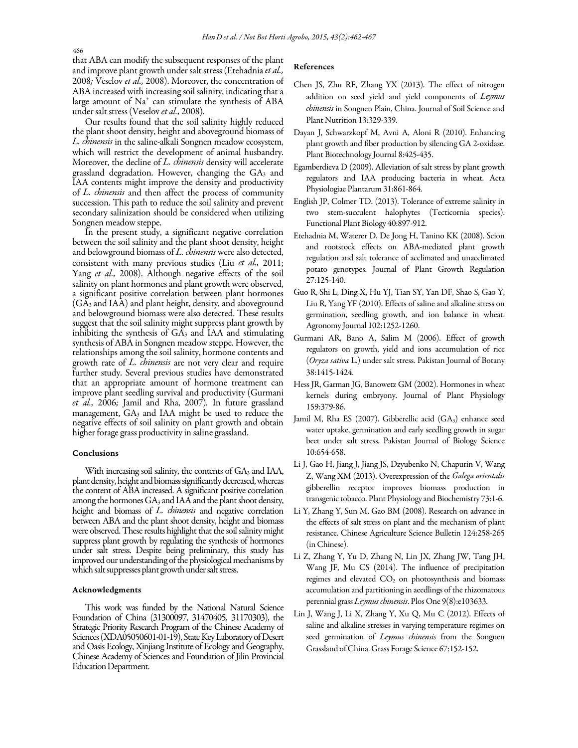466

that ABA can modify the subsequent responses of the plant and improve plant growth under salt stress (Etehadnia*et al.,*  2008*;* Veselov *et al.,* 2008). Moreover, the concentration of ABA increased with increasing soil salinity, indicating that a large amount of Na<sup>+</sup> can stimulate the synthesis of ABA under salt stress (Veselov *et al.,* 2008)*.*

Our results found that the soil salinity highly reduced the plant shoot density, height and aboveground biomass of *L. chinensis* in the saline-alkali Songnen meadow ecosystem, which will restrict the development of animal husbandry. Moreover, the decline of *L. chinensis* density will accelerate grassland degradation. However, changing the GA<sup>3</sup> and IAA contents might improve the density and productivity of *L. chinensis* and then affect the process of community succession. This path to reduce the soil salinity and prevent secondary salinization should be considered when utilizing Songnen meadow steppe.

In the present study, a significant negative correlation between the soil salinity and the plant shoot density, height and belowground biomass of *L. chinensis* were also detected, consistent with many previous studies (Liu *et al.,* 2011; Yang *et al.,* 2008). Although negative effects of the soil salinity on plant hormones and plant growth were observed, a significant positive correlation between plant hormones (GA<sup>3</sup> and IAA) and plant height, density, and aboveground and belowground biomass were also detected. These results suggest that the soil salinity might suppress plant growth by inhibiting the synthesis of  $G\overline{A_3}$  and  $IAA$  and stimulating synthesis of ABA in Songnen meadow steppe. However, the relationships among the soil salinity, hormone contents and growth rate of *L. chinensis* are not very clear and require further study. Several previous studies have demonstrated that an appropriate amount of hormone treatment can improve plant seedling survival and productivity (Gurmani *et al.,* 2006*;* Jamil and Rha, 2007)*.* In future grassland management, GA<sup>3</sup> and IAA might be used to reduce the negative effects of soil salinity on plant growth and obtain higher forage grass productivity in saline grassland.

## Conclusions

 height and biomass of *L. chinensis* and negative correlation With increasing soil salinity, the contents of GA3 and IAA, plant density, height and biomass significantly decreased, whereas the content of ABA increased. A significant positive correlation among the hormones GA<sup>3</sup> and IAA and the plant shoot density, between ABA and the plant shoot density, height and biomass were observed. These results highlight that the soil salinity might suppress plant growth by regulating the synthesis of hormones under salt stress. Despite being preliminary, this study has improved our understanding of the physiological mechanisms by which salt suppresses plant growth under salt stress.

## Acknowledgments

This work was funded by the National Natural Science Foundation of China (31300097, 31470405, 31170303), the Strategic Priority Research Program of the Chinese Academy of Sciences (XDA05050601-01-19), State Key Laboratory of Desert and Oasis Ecology, Xinjiang Institute of Ecology and Geography, Chinese Academy of Sciences and Foundation of Jilin Provincial Education Department.

## References

- Chen JS, Zhu RF, Zhang YX (2013). The effect of nitrogen addition on seed yield and yield components of *Leymus chinensis* in Songnen Plain, China. Journal of Soil Science and Plant Nutrition 13:329-339.
- Dayan J, Schwarzkopf M, Avni A, Aloni R (2010). Enhancing plant growth and fiber production by silencing GA 2-oxidase. Plant Biotechnology Journal 8:425-435.
- Egamberdieva D (2009). Alleviation of salt stress by plant growth regulators and IAA producing bacteria in wheat. Acta Physiologiae Plantarum 31:861-864.
- English JP, Colmer TD. (2013). Tolerance of extreme salinity in two stem-succulent halophytes (Tecticornia species). Functional Plant Biology 40:897-912.
- Etehadnia M, Waterer D, De Jong H, Tanino KK (2008). Scion and rootstock effects on ABA-mediated plant growth regulation and salt tolerance of acclimated and unacclimated potato genotypes. Journal of Plant Growth Regulation 27:125-140.
- Guo R, Shi L, Ding X, Hu YJ, Tian SY, Yan DF, Shao S, Gao Y, Liu R, Yang YF (2010). Effects of saline and alkaline stress on germination, seedling growth, and ion balance in wheat. Agronomy Journal 102:1252-1260.
- Gurmani AR, Bano A, Salim M (2006). Effect of growth regulators on growth, yield and ions accumulation of rice (*Oryza sativa* L.) under salt stress. Pakistan Journal of Botany 38:1415-1424.
- Hess JR, Garman JG, Banowetz GM (2002). Hormones in wheat kernels during embryony. Journal of Plant Physiology 159:379-86.
- Jamil M, Rha ES (2007). Gibberellic acid  $(GA_3)$  enhance seed water uptake, germination and early seedling growth in sugar beet under salt stress. Pakistan Journal of Biology Science 10:654-658.
- Li J, Gao H, Jiang J, Jiang JS, Dzyubenko N, Chapurin V, Wang Z, Wang XM (2013). Overexpression of the *Galega orientalis* gibberellin receptor improves biomass production in transgenic tobacco. Plant Physiology and Biochemistry 73:1-6.
- Li Y, Zhang Y, Sun M, Gao BM (2008). Research on advance in the effects of salt stress on plant and the mechanism of plant resistance. Chinese Agriculture Science Bulletin 124:258-265 (in Chinese).
- Li Z, Zhang Y, Yu D, Zhang N, Lin JX, Zhang JW, Tang JH, Wang JF, Mu CS (2014). The influence of precipitation regimes and elevated  $CO<sub>2</sub>$  on photosynthesis and biomass accumulation and partitioning in aeedlings of the rhizomatous perennial grass *Leymus chinensis*. Plos One 9(8):e103633.
- Lin J, Wang J, Li X, Zhang Y, Xu Q, Mu C (2012). Effects of saline and alkaline stresses in varying temperature regimes on seed germination of *Leymus chinensis* from the Songnen Grassland of China. Grass Forage Science 67:152-152.